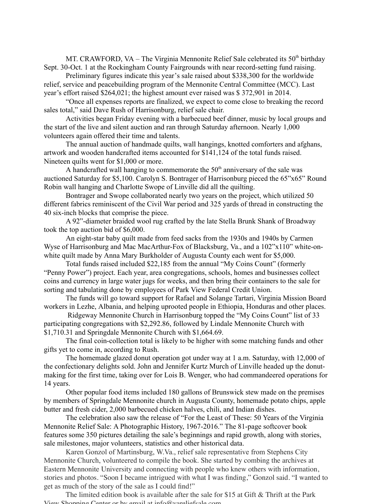MT. CRAWFORD, VA – The Virginia Mennonite Relief Sale celebrated its  $50<sup>th</sup>$  birthday Sept. 30-Oct. 1 at the Rockingham County Fairgrounds with near record-setting fund raising.

Preliminary figures indicate this year's sale raised about \$338,300 for the worldwide relief, service and peacebuilding program of the Mennonite Central Committee (MCC). Last year's effort raised \$264,021; the highest amount ever raised was \$ 372,901 in 2014.

"Once all expenses reports are finalized, we expect to come close to breaking the record sales total," said Dave Rush of Harrisonburg, relief sale chair.

Activities began Friday evening with a barbecued beef dinner, music by local groups and the start of the live and silent auction and ran through Saturday afternoon. Nearly 1,000 volunteers again offered their time and talents.

The annual auction of handmade quilts, wall hangings, knotted comforters and afghans, artwork and wooden handcrafted items accounted for \$141,124 of the total funds raised. Nineteen quilts went for \$1,000 or more.

A handcrafted wall hanging to commemorate the  $50<sup>th</sup>$  anniversary of the sale was auctioned Saturday for \$5,100. Carolyn S. Bontrager of Harrisonburg pieced the 65"x65" Round Robin wall hanging and Charlotte Swope of Linville did all the quilting.

Bontrager and Swope collaborated nearly two years on the project, which utilized 50 different fabrics reminiscent of the Civil War period and 325 yards of thread in constructing the 40 six-inch blocks that comprise the piece.

A 92"-diameter braided wool rug crafted by the late Stella Brunk Shank of Broadway took the top auction bid of \$6,000.

An eight-star baby quilt made from feed sacks from the 1930s and 1940s by Carmen Wyse of Harrisonburg and Mac MacArthur-Fox of Blacksburg, Va., and a 102"x110" white-onwhite quilt made by Anna Mary Burkholder of Augusta County each went for \$5,000.

Total funds raised included \$22,185 from the annual "My Coins Count" (formerly "Penny Power") project. Each year, area congregations, schools, homes and businesses collect coins and currency in large water jugs for weeks, and then bring their containers to the sale for sorting and tabulating done by employees of Park View Federal Credit Union.

The funds will go toward support for Rafael and Solange Tartari, Virginia Mission Board workers in Lezhe, Albania, and helping uprooted people in Ethiopia, Honduras and other places.

Ridgeway Mennonite Church in Harrisonburg topped the "My Coins Count" list of 33 participating congregations with \$2,292.86, followed by Lindale Mennonite Church with \$1,710.31 and Springdale Mennonite Church with \$1,664.69.

The final coin-collection total is likely to be higher with some matching funds and other gifts yet to come in, according to Rush.

The homemade glazed donut operation got under way at 1 a.m. Saturday, with 12,000 of the confectionary delights sold. John and Jennifer Kurtz Murch of Linville headed up the donutmaking for the first time, taking over for Lois B. Wenger, who had commandeered operations for 14 years.

Other popular food items included 180 gallons of Brunswick stew made on the premises by members of Springdale Mennonite church in Augusta County, homemade potato chips, apple butter and fresh cider, 2,000 barbecued chicken halves, chili, and Indian dishes.

The celebration also saw the release of "For the Least of These: 50 Years of the Virginia Mennonite Relief Sale: A Photographic History, 1967-2016." The 81-page softcover book features some 350 pictures detailing the sale's beginnings and rapid growth, along with stories, sale milestones, major volunteers, statistics and other historical data.

Karen Gonzol of Martinsburg, W.Va., relief sale representative from Stephens City Mennonite Church, volunteered to compile the book. She started by combing the archives at Eastern Mennonite University and connecting with people who knew others with information, stories and photos. "Soon I became intrigued with what I was finding," Gonzol said. "I wanted to get as much of the story of the sale as I could find!"

The limited edition book is available after the sale for \$15 at Gift & Thrift at the Park View Shopping Center or by email at info@vareliefsale.com.